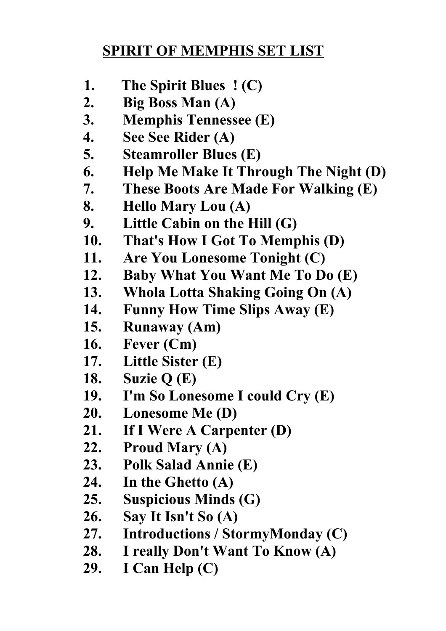## **SPIRIT OF MEMPHIS SET LIST**

- **1. The Spirit Blues ! (C)**
- **2. Big Boss Man (A)**
- **3. Memphis Tennessee (E)**
- **4. See See Rider (A)**
- **5. Steamroller Blues (E)**
- **6. Help Me Make It Through The Night (D)**
- **7. These Boots Are Made For Walking (E)**
- **8. Hello Mary Lou (A)**
- **9. Little Cabin on the Hill (G)**
- **10. That's How I Got To Memphis (D)**
- **11. Are You Lonesome Tonight (C)**
- **12. Baby What You Want Me To Do (E)**
- **13. Whola Lotta Shaking Going On (A)**
- **14. Funny How Time Slips Away (E)**
- **15. Runaway (Am)**
- **16. Fever (Cm)**
- **17. Little Sister (E)**
- **18. Suzie Q (E)**
- **19. I'm So Lonesome I could Cry (E)**
- **20. Lonesome Me (D)**
- **21. If I Were A Carpenter (D)**
- **22. Proud Mary (A)**
- **23. Polk Salad Annie (E)**
- **24. In the Ghetto (A)**
- **25. Suspicious Minds (G)**
- **26. Say It Isn't So (A)**
- **27. Introductions / StormyMonday (C)**
- **28. I really Don't Want To Know (A)**
- **29. I Can Help (C)**